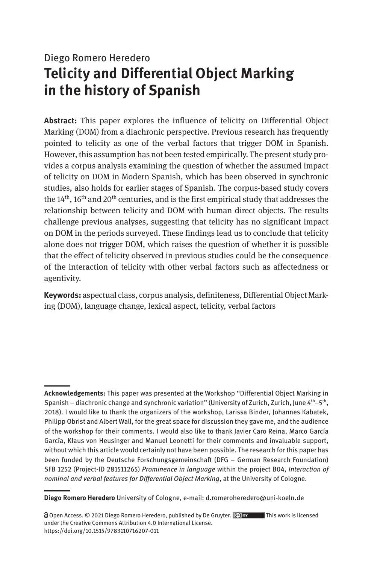# Diego Romero Heredero **Telicity and Differential Object Marking in the history of Spanish**

**Abstract:** This paper explores the influence of telicity on Differential Object Marking (DOM) from a diachronic perspective. Previous research has frequently pointed to telicity as one of the verbal factors that trigger DOM in Spanish. However, this assumption has not been tested empirically. The present study provides a corpus analysis examining the question of whether the assumed impact of telicity on DOM in Modern Spanish, which has been observed in synchronic studies, also holds for earlier stages of Spanish. The corpus-based study covers the  $14<sup>th</sup>$ ,  $16<sup>th</sup>$  and  $20<sup>th</sup>$  centuries, and is the first empirical study that addresses the relationship between telicity and DOM with human direct objects. The results challenge previous analyses, suggesting that telicity has no significant impact on DOM in the periods surveyed. These findings lead us to conclude that telicity alone does not trigger DOM, which raises the question of whether it is possible that the effect of telicity observed in previous studies could be the consequence of the interaction of telicity with other verbal factors such as affectedness or agentivity.

**Keywords:** aspectual class, corpus analysis, definiteness, Differential Object Mark ing (DOM), language change, lexical aspect, telicity, verbal factors

**Acknowledgements:** This paper was presented at the Workshop "Differential Object Marking in Spanish – diachronic change and synchronic variation" (University of Zurich, Zurich, June  $4^{\text{th}}-5^{\text{th}}$ , 2018). I would like to thank the organizers of the workshop, Larissa Binder, Johannes Kabatek, Philipp Obrist and Albert Wall, for the great space for discussion they gave me, and the audience of the workshop for their comments. I would also like to thank Javier Caro Reina, Marco García García, Klaus von Heusinger and Manuel Leonetti for their comments and invaluable support, without which this article would certainly not have been possible. The research for this paper has been funded by the Deutsche Forschungsgemeinschaft (DFG – German Research Foundation) SFB 1252 (Project-ID 281511265) *Prominence in language* within the project B04, *Interaction of nominal and verbal features for Differential Object Marking*, at the University of Cologne.

**Diego Romero Heredero** University of Cologne, e-mail: d.romeroheredero@uni-koeln.de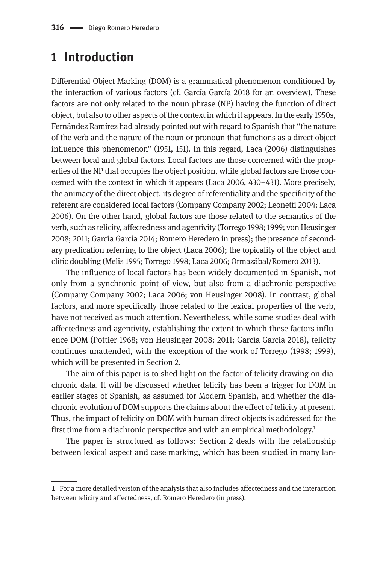# **1 Introduction**

Differential Object Marking (DOM) is a grammatical phenomenon conditioned by the interaction of various factors (cf. García García 2018 for an overview). These factors are not only related to the noun phrase (NP) having the function of direct object, but also to other aspects of the context in which it appears. In the early 1950s, Fernández Ramírez had already pointed out with regard to Spanish that "the nature of the verb and the nature of the noun or pronoun that functions as a direct object influence this phenomenon" (1951, 151). In this regard, Laca (2006) distinguishes between local and global factors. Local factors are those concerned with the properties of the NP that occupies the object position, while global factors are those concerned with the context in which it appears (Laca 2006, 430–431). More precisely, the animacy of the direct object, its degree of referentiality and the specificity of the referent are considered local factors (Company Company 2002; Leonetti 2004; Laca 2006). On the other hand, global factors are those related to the semantics of the verb, such as telicity, affectedness and agentivity (Torrego 1998; 1999; von Heusinger 2008; 2011; García García 2014; Romero Heredero in press); the presence of secondary predication referring to the object (Laca 2006); the topicality of the object and clitic doubling (Melis 1995; Torrego 1998; Laca 2006; Ormazábal/Romero 2013).

The influence of local factors has been widely documented in Spanish, not only from a synchronic point of view, but also from a diachronic perspective (Company Company 2002; Laca 2006; von Heusinger 2008). In contrast, global factors, and more specifically those related to the lexical properties of the verb, have not received as much attention. Nevertheless, while some studies deal with affectedness and agentivity, establishing the extent to which these factors influence DOM (Pottier 1968; von Heusinger 2008; 2011; García García 2018), telicity continues unattended, with the exception of the work of Torrego (1998; 1999), which will be presented in Section 2.

The aim of this paper is to shed light on the factor of telicity drawing on diachronic data. It will be discussed whether telicity has been a trigger for DOM in earlier stages of Spanish, as assumed for Modern Spanish, and whether the diachronic evolution of DOM supports the claims about the effect of telicity at present. Thus, the impact of telicity on DOM with human direct objects is addressed for the first time from a diachronic perspective and with an empirical methodology.<sup>1</sup>

The paper is structured as follows: Section 2 deals with the relationship between lexical aspect and case marking, which has been studied in many lan-

**<sup>1</sup>** For a more detailed version of the analysis that also includes affectedness and the interaction between telicity and affectedness, cf. Romero Heredero (in press)*.*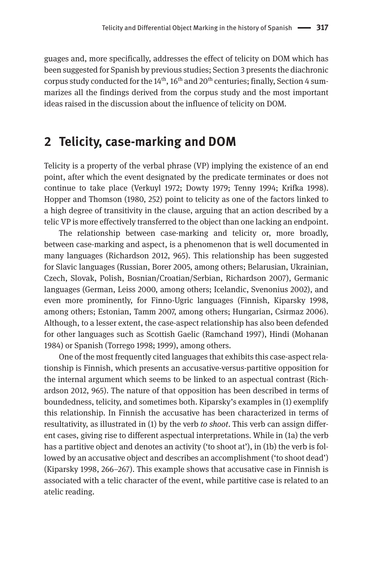guages and, more specifically, addresses the effect of telicity on DOM which has been suggested for Spanish by previous studies; Section 3 presents the diachronic corpus study conducted for the  $14<sup>th</sup>$ ,  $16<sup>th</sup>$  and  $20<sup>th</sup>$  centuries; finally, Section 4 summarizes all the findings derived from the corpus study and the most important ideas raised in the discussion about the influence of telicity on DOM.

### **2 Telicity, case-marking and DOM**

Telicity is a property of the verbal phrase (VP) implying the existence of an end point, after which the event designated by the predicate terminates or does not continue to take place (Verkuyl 1972; Dowty 1979; Tenny 1994; Krifka 1998). Hopper and Thomson (1980, 252) point to telicity as one of the factors linked to a high degree of transitivity in the clause, arguing that an action described by a telic VP is more effectively transferred to the object than one lacking an endpoint.

The relationship between case-marking and telicity or, more broadly, between case-marking and aspect, is a phenomenon that is well documented in many languages (Richardson 2012, 965). This relationship has been suggested for Slavic languages (Russian, Borer 2005, among others; Belarusian, Ukrainian, Czech, Slovak, Polish, Bosnian/Croatian/Serbian, Richardson 2007), Germanic languages (German, Leiss 2000, among others; Icelandic, Svenonius 2002), and even more prominently, for Finno-Ugric languages (Finnish, Kiparsky 1998, among others; Estonian, Tamm 2007, among others; Hungarian, Csirmaz 2006). Although, to a lesser extent, the case-aspect relationship has also been defended for other languages such as Scottish Gaelic (Ramchand 1997), Hindi (Mohanan 1984) or Spanish (Torrego 1998; 1999), among others.

One of the most frequently cited languages that exhibits this case-aspect relationship is Finnish, which presents an accusative-versus-partitive opposition for the internal argument which seems to be linked to an aspectual contrast (Richardson 2012, 965). The nature of that opposition has been described in terms of boundedness, telicity, and sometimes both. Kiparsky's examples in (1) exemplify this relationship. In Finnish the accusative has been characterized in terms of resultativity, as illustrated in (1) by the verb *to shoot*. This verb can assign different cases, giving rise to different aspectual interpretations. While in (1a) the verb has a partitive object and denotes an activity ('to shoot at'), in (1b) the verb is followed by an accusative object and describes an accomplishment ('to shoot dead') (Kiparsky 1998, 266–267). This example shows that accusative case in Finnish is associated with a telic character of the event, while partitive case is related to an atelic reading.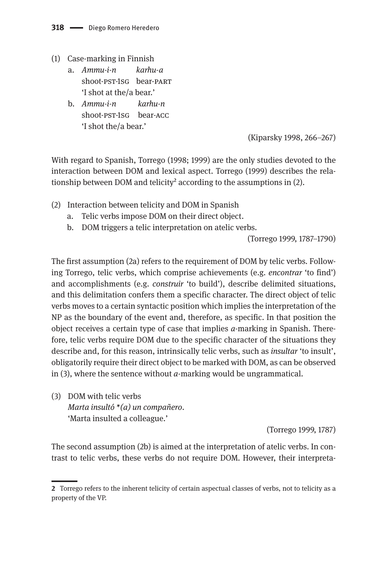- (1)  Case-marking in Finnish
	- a. *Ammu-i-n karhu-a* shoot-pst-1sg bear-part 'I shot at the/a bear.'
	- b. *Ammu-i-n karhu-n* shoot-pst-1sg bear-acc 'I shot the/a bear.'

(Kiparsky 1998, 266–267)

With regard to Spanish, Torrego (1998; 1999) are the only studies devoted to the interaction between DOM and lexical aspect. Torrego (1999) describes the relationship between DOM and telicity<sup>2</sup> according to the assumptions in  $(2)$ .

- (2) Interaction between telicity and DOM in Spanish
	- a. Telic verbs impose DOM on their direct object.
	- b. DOM triggers a telic interpretation on atelic verbs.

(Torrego 1999, 1787–1790)

The first assumption (2a) refers to the requirement of DOM by telic verbs. Following Torrego, telic verbs, which comprise achievements (e.g. *encontrar* 'to find') and accomplishments (e.g. *construir* 'to build'), describe delimited situations, and this delimitation confers them a specific character. The direct object of telic verbs moves to a certain syntactic position which implies the interpretation of the NP as the boundary of the event and, therefore, as specific. In that position the object receives a certain type of case that implies *a-*marking in Spanish. Therefore, telic verbs require DOM due to the specific character of the situations they describe and, for this reason, intrinsically telic verbs, such as *insultar* 'to insult', obligatorily require their direct object to be marked with DOM, as can be observed in (3), where the sentence without *a*-marking would be ungrammatical.

(3) DOM with telic verbs *Marta insultó \*(a) un compañero*. 'Marta insulted a colleague.'

(Torrego 1999, 1787)

The second assumption (2b) is aimed at the interpretation of atelic verbs. In contrast to telic verbs, these verbs do not require DOM. However, their interpreta-

**<sup>2</sup>** Torrego refers to the inherent telicity of certain aspectual classes of verbs, not to telicity as a property of the VP.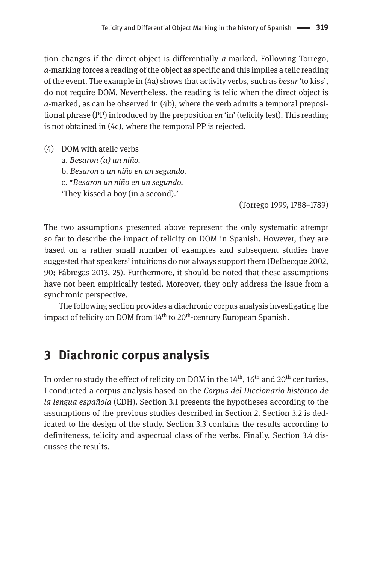tion changes if the direct object is differentially *a*-marked. Following Torrego, *a-*marking forces a reading of the object as specific and this implies a telic reading of the event. The example in (4a) shows that activity verbs, such as *besar* 'to kiss', do not require DOM. Nevertheless, the reading is telic when the direct object is *a*-marked, as can be observed in (4b), where the verb admits a temporal prepositional phrase (PP) introduced by the preposition *en* 'in' (telicity test). This reading is not obtained in (4c), where the temporal PP is rejected.

(4) DOM with atelic verbs a. *Besaron (a) un niño.* b. *Besaron a un niño en un segundo.* c. \**Besaron un niño en un segundo.* 'They kissed a boy (in a second).'

(Torrego 1999, 1788–1789)

The two assumptions presented above represent the only systematic attempt so far to describe the impact of telicity on DOM in Spanish. However, they are based on a rather small number of examples and subsequent studies have suggested that speakers' intuitions do not always support them (Delbecque 2002, 90; Fábregas 2013, 25). Furthermore, it should be noted that these assumptions have not been empirically tested. Moreover, they only address the issue from a synchronic perspective.

The following section provides a diachronic corpus analysis investigating the impact of telicity on DOM from 14<sup>th</sup> to 20<sup>th</sup>-century European Spanish.

## **3 Diachronic corpus analysis**

In order to study the effect of telicity on DOM in the  $14<sup>th</sup>$ ,  $16<sup>th</sup>$  and  $20<sup>th</sup>$  centuries, I conducted a corpus analysis based on the *Corpus del Diccionario histórico de la lengua española* (CDH). Section 3.1 presents the hypotheses according to the assumptions of the previous studies described in Section 2. Section 3.2 is dedicated to the design of the study. Section 3.3 contains the results according to definiteness, telicity and aspectual class of the verbs. Finally, Section 3.4 discusses the results.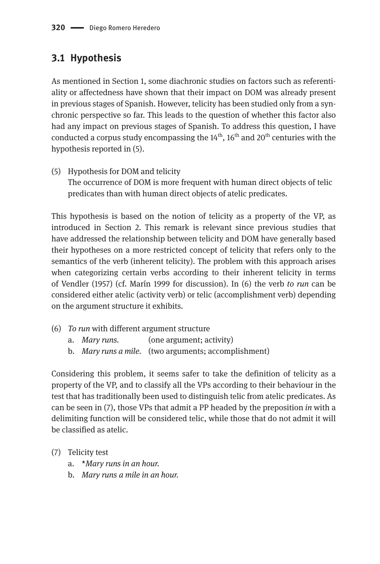### **3.1 Hypothesis**

As mentioned in Section 1, some diachronic studies on factors such as referentiality or affectedness have shown that their impact on DOM was already present in previous stages of Spanish. However, telicity has been studied only from a synchronic perspective so far. This leads to the question of whether this factor also had any impact on previous stages of Spanish. To address this question, I have conducted a corpus study encompassing the  $14<sup>th</sup>$ ,  $16<sup>th</sup>$  and  $20<sup>th</sup>$  centuries with the hypothesis reported in (5).

(5) Hypothesis for DOM and telicity The occurrence of DOM is more frequent with human direct objects of telic predicates than with human direct objects of atelic predicates.

This hypothesis is based on the notion of telicity as a property of the VP, as introduced in Section 2. This remark is relevant since previous studies that have addressed the relationship between telicity and DOM have generally based their hypotheses on a more restricted concept of telicity that refers only to the semantics of the verb (inherent telicity). The problem with this approach arises when categorizing certain verbs according to their inherent telicity in terms of Vendler (1957) (cf. Marín 1999 for discussion). In (6) the verb *to run* can be considered either atelic (activity verb) or telic (accomplishment verb) depending on the argument structure it exhibits.

- (6) *To run* with different argument structure
	- a. *Mary runs.* (one argument; activity)
	- b. *Mary runs a mile.* (two arguments; accomplishment)

Considering this problem, it seems safer to take the definition of telicity as a property of the VP, and to classify all the VPs according to their behaviour in the test that has traditionally been used to distinguish telic from atelic predicates. As can be seen in (7), those VPs that admit a PP headed by the preposition *in* with a delimiting function will be considered telic, while those that do not admit it will be classified as atelic.

- (7) Telicity test
	- a. \**Mary runs in an hour.*
	- b. *Mary runs a mile in an hour.*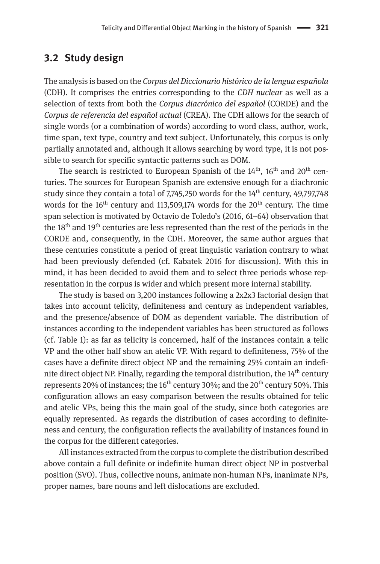#### **3.2 Study design**

The analysis is based on the *Corpus del Diccionario histórico de la lengua española* (CDH). It comprises the entries corresponding to the *CDH nuclear* as well as a selection of texts from both the *Corpus diacrónico del español* (CORDE) and the *Corpus de referencia del español actual* (CREA). The CDH allows for the search of single words (or a combination of words) according to word class, author, work, time span, text type, country and text subject. Unfortunately, this corpus is only partially annotated and, although it allows searching by word type, it is not possible to search for specific syntactic patterns such as DOM.

The search is restricted to European Spanish of the  $14<sup>th</sup>$ ,  $16<sup>th</sup>$  and  $20<sup>th</sup>$  centuries. The sources for European Spanish are extensive enough for a diachronic study since they contain a total of  $7,745,250$  words for the  $14<sup>th</sup>$  century,  $49,797,748$ words for the 16<sup>th</sup> century and 113,509,174 words for the 20<sup>th</sup> century. The time span selection is motivated by Octavio de Toledo's (2016, 61–64) observation that the 18<sup>th</sup> and 19<sup>th</sup> centuries are less represented than the rest of the periods in the CORDE and, consequently, in the CDH. Moreover, the same author argues that these centuries constitute a period of great linguistic variation contrary to what had been previously defended (cf. Kabatek 2016 for discussion). With this in mind, it has been decided to avoid them and to select three periods whose representation in the corpus is wider and which present more internal stability.

The study is based on 3,200 instances following a 2x2x3 factorial design that takes into account telicity, definiteness and century as independent variables, and the presence/absence of DOM as dependent variable. The distribution of instances according to the independent variables has been structured as follows (cf. Table 1): as far as telicity is concerned, half of the instances contain a telic VP and the other half show an atelic VP. With regard to definiteness, 75% of the cases have a definite direct object NP and the remaining 25% contain an indefinite direct object NP. Finally, regarding the temporal distribution, the  $14<sup>th</sup>$  century represents 20% of instances; the 16<sup>th</sup> century 30%; and the 20<sup>th</sup> century 50%. This configuration allows an easy comparison between the results obtained for telic and atelic VPs, being this the main goal of the study, since both categories are equally represented. As regards the distribution of cases according to definiteness and century, the configuration reflects the availability of instances found in the corpus for the different categories.

All instances extracted from the corpus to complete the distribution described above contain a full definite or indefinite human direct object NP in postverbal position (SVO). Thus, collective nouns, animate non-human NPs, inanimate NPs, proper names, bare nouns and left dislocations are excluded.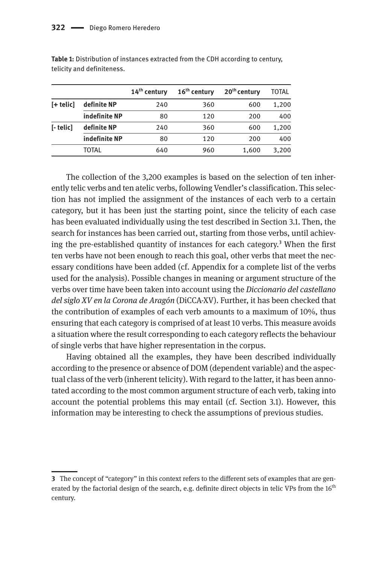|                |               | $14th$ century | $16th$ century | $20th$ century | TOTAL |
|----------------|---------------|----------------|----------------|----------------|-------|
| $[+$ telic $]$ | definite NP   | 240            | 360            | 600            | 1,200 |
|                | indefinite NP | 80             | 120            | 200            | 400   |
| [- telic]      | definite NP   | 240            | 360            | 600            | 1,200 |
|                | indefinite NP | 80             | 120            | 200            | 400   |
|                | TOTAL         | 640            | 960            | 1,600          | 3,200 |

**Table 1:** Distribution of instances extracted from the CDH according to century, telicity and definiteness.

The collection of the 3,200 examples is based on the selection of ten inherently telic verbs and ten atelic verbs, following Vendler's classification. This selection has not implied the assignment of the instances of each verb to a certain category, but it has been just the starting point, since the telicity of each case has been evaluated individually using the test described in Section 3.1. Then, the search for instances has been carried out, starting from those verbs, until achieving the pre-established quantity of instances for each category.<sup>3</sup> When the first ten verbs have not been enough to reach this goal, other verbs that meet the necessary conditions have been added (cf. Appendix for a complete list of the verbs used for the analysis). Possible changes in meaning or argument structure of the verbs over time have been taken into account using the *Diccionario del castellano del siglo XV en la Corona de Aragón* (DiCCA-XV). Further, it has been checked that the contribution of examples of each verb amounts to a maximum of 10%, thus ensuring that each category is comprised of at least 10 verbs. This measure avoids a situation where the result corresponding to each category reflects the behaviour of single verbs that have higher representation in the corpus.

Having obtained all the examples, they have been described individually according to the presence or absence of DOM (dependent variable) and the aspectual class of the verb (inherent telicity). With regard to the latter, it has been annotated according to the most common argument structure of each verb, taking into account the potential problems this may entail (cf. Section 3.1). However, this information may be interesting to check the assumptions of previous studies.

**<sup>3</sup>** The concept of "category" in this context refers to the different sets of examples that are generated by the factorial design of the search, e.g. definite direct objects in telic VPs from the 16<sup>th</sup> century.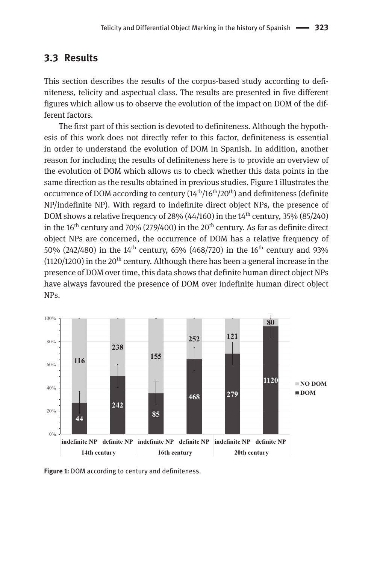#### **3.3 Results**

This section describes the results of the corpus-based study according to definiteness, telicity and aspectual class. The results are presented in five different figures which allow us to observe the evolution of the impact on DOM of the different factors.

The first part of this section is devoted to definiteness. Although the hypothesis of this work does not directly refer to this factor, definiteness is essential in order to understand the evolution of DOM in Spanish. In addition, another reason for including the results of definiteness here is to provide an overview of the evolution of DOM which allows us to check whether this data points in the same direction as the results obtained in previous studies. Figure 1 illustrates the occurrence of DOM according to century  $(14<sup>th</sup>/16<sup>th</sup>/20<sup>th</sup>)$  and definiteness (definite NP/indefinite NP). With regard to indefinite direct object NPs, the presence of DOM shows a relative frequency of 28% (44/160) in the  $14<sup>th</sup>$  century, 35% (85/240) in the  $16<sup>th</sup>$  century and 70% (279/400) in the 20<sup>th</sup> century. As far as definite direct object NPs are concerned, the occurrence of DOM has a relative frequency of 50% (242/480) in the 14<sup>th</sup> century, 65% (468/720) in the 16<sup>th</sup> century and 93% (1120/1200) in the 20<sup>th</sup> century. Although there has been a general increase in the presence of DOM over time, this data shows that definite human direct object NPs have always favoured the presence of DOM over indefinite human direct object NPs.



**Figure 1:** DOM according to century and definiteness.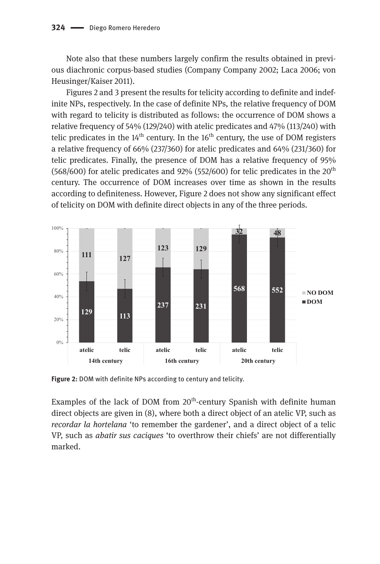Note also that these numbers largely confirm the results obtained in previous diachronic corpus-based studies (Company Company 2002; Laca 2006; von Heusinger/Kaiser 2011).

Figures 2 and 3 present the results for telicity according to definite and indefinite NPs, respectively. In the case of definite NPs, the relative frequency of DOM with regard to telicity is distributed as follows: the occurrence of DOM shows a relative frequency of 54% (129/240) with atelic predicates and 47% (113/240) with telic predicates in the  $14<sup>th</sup>$  century. In the  $16<sup>th</sup>$  century, the use of DOM registers a relative frequency of 66% (237/360) for atelic predicates and 64% (231/360) for telic predicates. Finally, the presence of DOM has a relative frequency of 95% (568/600) for atelic predicates and  $92\%$  (552/600) for telic predicates in the  $20<sup>th</sup>$ century. The occurrence of DOM increases over time as shown in the results according to definiteness. However, Figure 2 does not show any significant effect of telicity on DOM with definite direct objects in any of the three periods.



**Figure 2:** DOM with definite NPs according to century and telicity.

Examples of the lack of DOM from  $20<sup>th</sup>$ -century Spanish with definite human direct objects are given in (8), where both a direct object of an atelic VP, such as *recordar la hortelana* 'to remember the gardener', and a direct object of a telic VP, such as *abatir sus caciques* 'to overthrow their chiefs' are not differentially marked.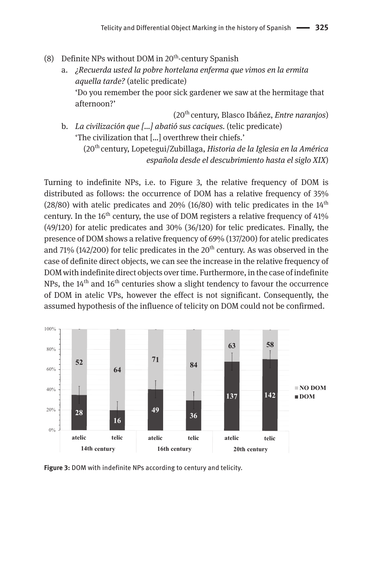- (8) Definite NPs without DOM in  $20<sup>th</sup>$ -century Spanish
	- a. *¿Recuerda usted la pobre hortelana enferma que vimos en la ermita aquella tarde?* (atelic predicate) 'Do you remember the poor sick gardener we saw at the hermitage that afternoon?'

(20th century, Blasco Ibáñez, *Entre naranjos*) b. *La civilización que […] abatió sus caciques.* (telic predicate) 'The civilization that […] overthrew their chiefs.' (20th century, Lopetegui/Zubillaga, *Historia de la Iglesia en la América española desde el descubrimiento hasta el siglo XIX*)

Turning to indefinite NPs, i.e. to Figure 3, the relative frequency of DOM is distributed as follows: the occurrence of DOM has a relative frequency of 35%  $(28/80)$  with atelic predicates and 20%  $(16/80)$  with telic predicates in the  $14<sup>th</sup>$ century. In the  $16<sup>th</sup>$  century, the use of DOM registers a relative frequency of  $41\%$ (49/120) for atelic predicates and 30% (36/120) for telic predicates. Finally, the presence of DOM shows a relative frequency of 69% (137/200) for atelic predicates and 71% (142/200) for telic predicates in the  $20<sup>th</sup>$  century. As was observed in the case of definite direct objects, we can see the increase in the relative frequency of DOM with indefinite direct objects over time. Furthermore, in the case of indefinite NPs, the  $14<sup>th</sup>$  and  $16<sup>th</sup>$  centuries show a slight tendency to favour the occurrence of DOM in atelic VPs, however the effect is not significant. Consequently, the assumed hypothesis of the influence of telicity on DOM could not be confirmed.



**Figure 3:** DOM with indefinite NPs according to century and telicity.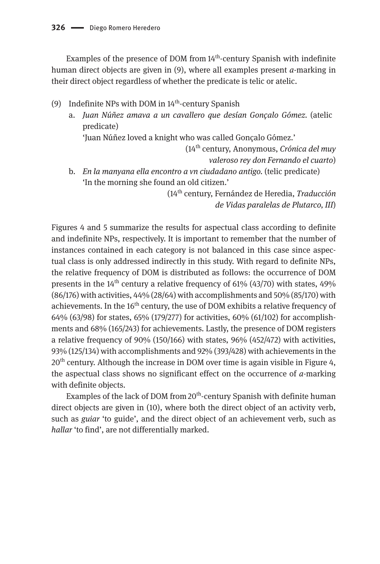Examples of the presence of DOM from 14<sup>th</sup>-century Spanish with indefinite human direct objects are given in (9), where all examples present *a*-marking in their direct object regardless of whether the predicate is telic or atelic.

- (9) Indefinite NPs with DOM in  $14<sup>th</sup>$ -century Spanish
	- a. *Juan Núñez amava a un cavallero que desían Gonçalo Gómez.* (atelic predicate)

'Juan Núñez loved a knight who was called Gonçalo Gómez.'

(14th century, Anonymous, *Crónica del muy valeroso rey don Fernando el cuarto*)

b. *En la manyana ella encontro a vn ciudadano antigo.* (telic predicate) 'In the morning she found an old citizen.'

> (14th century, Fernández de Heredia, *Traducción de Vidas paralelas de Plutarco, III*)

Figures 4 and 5 summarize the results for aspectual class according to definite and indefinite NPs, respectively. It is important to remember that the number of instances contained in each category is not balanced in this case since aspectual class is only addressed indirectly in this study. With regard to definite NPs, the relative frequency of DOM is distributed as follows: the occurrence of DOM presents in the  $14<sup>th</sup>$  century a relative frequency of 61% (43/70) with states, 49% (86/176) with activities, 44% (28/64) with accomplishments and 50% (85/170) with achievements. In the  $16<sup>th</sup>$  century, the use of DOM exhibits a relative frequency of 64% (63/98) for states, 65% (179/277) for activities, 60% (61/102) for accomplishments and 68% (165/243) for achievements. Lastly, the presence of DOM registers a relative frequency of 90% (150/166) with states, 96% (452/472) with activities, 93% (125/134) with accomplishments and 92% (393/428) with achievements in the  $20<sup>th</sup>$  century. Although the increase in DOM over time is again visible in Figure 4, the aspectual class shows no significant effect on the occurrence of  $a$ -marking with definite objects.

Examples of the lack of DOM from 20<sup>th</sup>-century Spanish with definite human direct objects are given in (10), where both the direct object of an activity verb, such as *guiar* 'to guide', and the direct object of an achievement verb, such as *hallar* 'to find', are not differentially marked.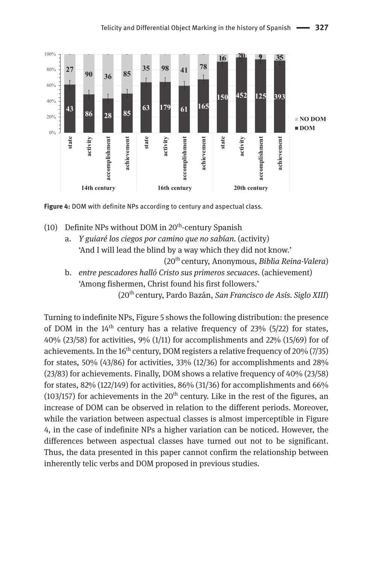

**Figure 4:** DOM with definite NPs according to century and aspectual class.

- (10) Definite NPs without DOM in  $20<sup>th</sup>$ -century Spanish
	- a. *Y guiaré los ciegos por camino que no sabían.* (activity) 'And I will lead the blind by a way which they did not know.' (20th century, Anonymous, *Biblia Reina-Valera*)
	- b. *entre pescadores halló Cristo sus primeros secuaces.* (achievement) 'Among fishermen, Christ found his first followers.'

(20th century, Pardo Bazán, *San Francisco de Asís. Siglo XIII*)

Turning to indefinite NPs, Figure 5 shows the following distribution: the presence of DOM in the  $14<sup>th</sup>$  century has a relative frequency of 23% (5/22) for states, 40% (23/58) for activities, 9% (1/11) for accomplishments and 22% (15/69) for of achievements. In the  $16<sup>th</sup>$  century, DOM registers a relative frequency of 20% (7/35) for states, 50% (43/86) for activities, 33% (12/36) for accomplishments and 28% (23/83) for achievements. Finally, DOM shows a relative frequency of 40% (23/58) for states,  $82\%$  (122/149) for activities,  $86\%$  (31/36) for accomplishments and  $66\%$ (103/157) for achievements in the  $20<sup>th</sup>$  century. Like in the rest of the figures, an increase of DOM can be observed in relation to the different periods. Moreover, while the variation between aspectual classes is almost imperceptible in Figure 4, in the case of indefinite NPs a higher variation can be noticed. However, the differences between aspectual classes have turned out not to be significant. Thus, the data presented in this paper cannot confirm the relationship between inherently telic verbs and DOM proposed in previous studies.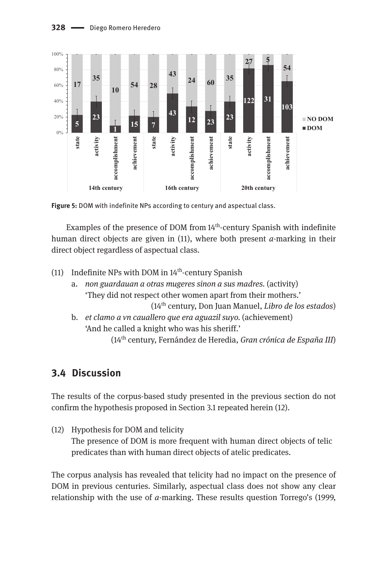

**Figure 5:** DOM with indefinite NPs according to century and aspectual class.

Examples of the presence of DOM from 14<sup>th</sup>-century Spanish with indefinite human direct objects are given in (11), where both present *a*-marking in their direct object regardless of aspectual class.

- (11) Indefinite NPs with DOM in  $14<sup>th</sup>$ -century Spanish
	- a. *non guardauan a otras mugeres sinon a sus madres.* (activity) 'They did not respect other women apart from their mothers.'

(14th century, Don Juan Manuel, *Libro de los estados*)

b. *et clamo a vn cauallero que era aguazil suyo.* (achievement) 'And he called a knight who was his sheriff.'

(14th century, Fernández de Heredia, *Gran crónica de España III*)

### **3.4 Discussion**

The results of the corpus-based study presented in the previous section do not confirm the hypothesis proposed in Section 3.1 repeated herein (12).

(12) Hypothesis for DOM and telicity The presence of DOM is more frequent with human direct objects of telic predicates than with human direct objects of atelic predicates.

The corpus analysis has revealed that telicity had no impact on the presence of DOM in previous centuries. Similarly, aspectual class does not show any clear relationship with the use of *a*-marking. These results question Torrego's (1999,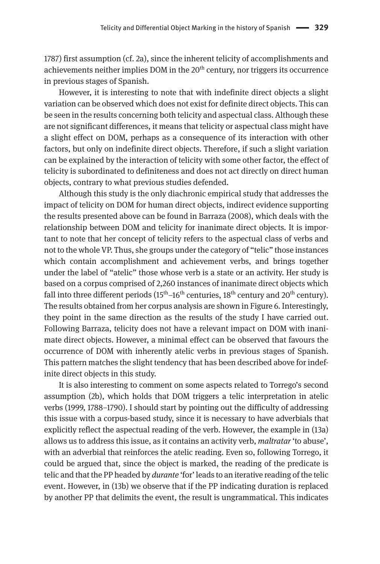1787) first assumption (cf. 2a), since the inherent telicity of accomplishments and achievements neither implies DOM in the  $20<sup>th</sup>$  century, nor triggers its occurrence in previous stages of Spanish.

However, it is interesting to note that with indefinite direct objects a slight variation can be observed which does not exist for definite direct objects. This can be seen in the results concerning both telicity and aspectual class. Although these are not significant differences, it means that telicity or aspectual class might have a slight effect on DOM, perhaps as a consequence of its interaction with other factors, but only on indefinite direct objects. Therefore, if such a slight variation can be explained by the interaction of telicity with some other factor, the effect of telicity is subordinated to definiteness and does not act directly on direct human objects, contrary to what previous studies defended.

Although this study is the only diachronic empirical study that addresses the impact of telicity on DOM for human direct objects, indirect evidence supporting the results presented above can be found in Barraza (2008), which deals with the relationship between DOM and telicity for inanimate direct objects. It is important to note that her concept of telicity refers to the aspectual class of verbs and not to the whole VP. Thus, she groups under the category of "telic" those instances which contain accomplishment and achievement verbs, and brings together under the label of "atelic" those whose verb is a state or an activity. Her study is based on a corpus comprised of 2,260 instances of inanimate direct objects which fall into three different periods  $(15<sup>th</sup>-16<sup>th</sup>$  centuries,  $18<sup>th</sup>$  century and  $20<sup>th</sup>$  century). The results obtained from her corpus analysis are shown in Figure 6. Interestingly, they point in the same direction as the results of the study I have carried out. Following Barraza, telicity does not have a relevant impact on DOM with inanimate direct objects. However, a minimal effect can be observed that favours the occurrence of DOM with inherently atelic verbs in previous stages of Spanish. This pattern matches the slight tendency that has been described above for indefinite direct objects in this study.

It is also interesting to comment on some aspects related to Torrego's second assumption (2b), which holds that DOM triggers a telic interpretation in atelic verbs (1999, 1788–1790). I should start by pointing out the difficulty of addressing this issue with a corpus-based study, since it is necessary to have adverbials that explicitly reflect the aspectual reading of the verb. However, the example in (13a) allows us to address this issue, as it contains an activity verb, *maltratar* 'to abuse', with an adverbial that reinforces the atelic reading. Even so, following Torrego, it could be argued that, since the object is marked, the reading of the predicate is telic and that the PP headed by *durante* 'for' leads to an iterative reading of the telic event. However, in (13b) we observe that if the PP indicating duration is replaced by another PP that delimits the event, the result is ungrammatical. This indicates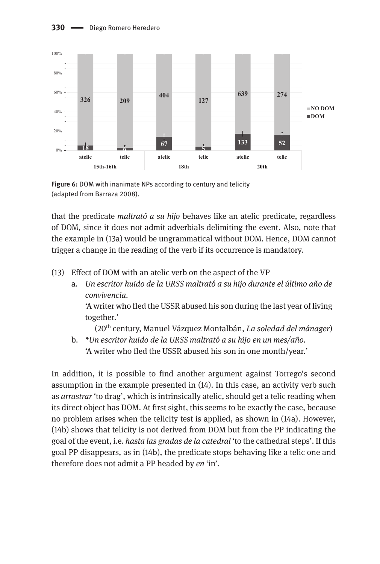

**Figure 6:** DOM with inanimate NPs according to century and telicity (adapted from Barraza 2008).

that the predicate *maltrató a su hijo* behaves like an atelic predicate, regardless of DOM, since it does not admit adverbials delimiting the event. Also, note that the example in (13a) would be ungrammatical without DOM. Hence, DOM cannot trigger a change in the reading of the verb if its occurrence is mandatory.

(13) Effect of DOM with an atelic verb on the aspect of the VP

a. *Un escritor huido de la URSS maltrató a su hijo durante el último año de convivencia.* 'A writer who fled the USSR abused his son during the last year of living together.'

(20th century, Manuel Vázquez Montalbán, *La soledad del mánager*)

b. *\*Un escritor huido de la URSS maltrató a su hijo en un mes/año.* 'A writer who fled the USSR abused his son in one month/year.'

In addition, it is possible to find another argument against Torrego's second assumption in the example presented in (14). In this case, an activity verb such as *arrastrar* 'to drag', which is intrinsically atelic, should get a telic reading when its direct object has DOM. At first sight, this seems to be exactly the case, because no problem arises when the telicity test is applied, as shown in (14a). However, (14b) shows that telicity is not derived from DOM but from the PP indicating the goal of the event, i.e. *hasta las gradas de la catedral* 'to the cathedral steps'. If this goal PP disappears, as in (14b), the predicate stops behaving like a telic one and therefore does not admit a PP headed by *en* 'in'.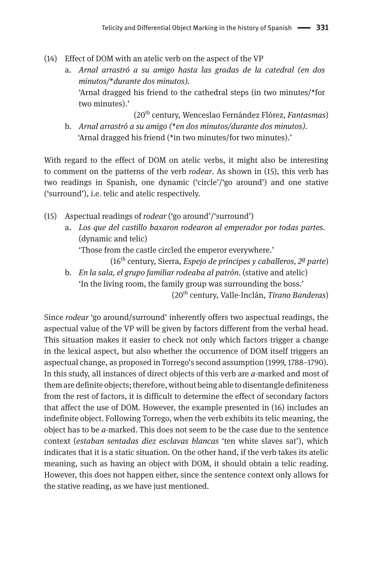- (14) Effect of DOM with an atelic verb on the aspect of the VP
	- a. *Arnal arrastró a su amigo hasta las gradas de la catedral (en dos minutos/\*durante dos minutos).* 'Arnal dragged his friend to the cathedral steps (in two minutes/\*for two minutes).'

(20th century, Wenceslao Fernández Flórez, *Fantasmas*) b. *Arnal arrastró a su amigo (\*en dos minutos/durante dos minutos).* 'Arnal dragged his friend (\*in two minutes/for two minutes).'

With regard to the effect of DOM on atelic verbs, it might also be interesting to comment on the patterns of the verb *rodear*. As shown in (15), this verb has two readings in Spanish, one dynamic ('circle'/'go around') and one stative ('surround'), i.e. telic and atelic respectively.

- (15) Aspectual readings of *rodear* ('go around'/'surround')
	- a. *Los que del castillo baxaron rodearon al emperador por todas partes.*  (dynamic and telic) 'Those from the castle circled the emperor everywhere.'

(16th century, Sierra, *Espejo de príncipes y caballeros, 2ª parte*)

b. *En la sala, el grupo familiar rodeaba al patrón.* (stative and atelic) 'In the living room, the family group was surrounding the boss.'

(20th century, Valle-Inclán, *Tirano Banderas*)

Since *rodear* 'go around/surround' inherently offers two aspectual readings, the aspectual value of the VP will be given by factors different from the verbal head. This situation makes it easier to check not only which factors trigger a change in the lexical aspect, but also whether the occurrence of DOM itself triggers an aspectual change, as proposed in Torrego's second assumption (1999, 1788–1790). In this study, all instances of direct objects of this verb are *a*-marked and most of them are definite objects; therefore, without being able to disentangle definiteness from the rest of factors, it is difficult to determine the effect of secondary factors that affect the use of DOM. However, the example presented in (16) includes an indefinite object. Following Torrego, when the verb exhibits its telic meaning, the object has to be *a-*marked. This does not seem to be the case due to the sentence context (*estaban sentadas diez esclavas blancas* 'ten white slaves sat'), which indicates that it is a static situation. On the other hand, if the verb takes its atelic meaning, such as having an object with DOM, it should obtain a telic reading. However, this does not happen either, since the sentence context only allows for the stative reading, as we have just mentioned.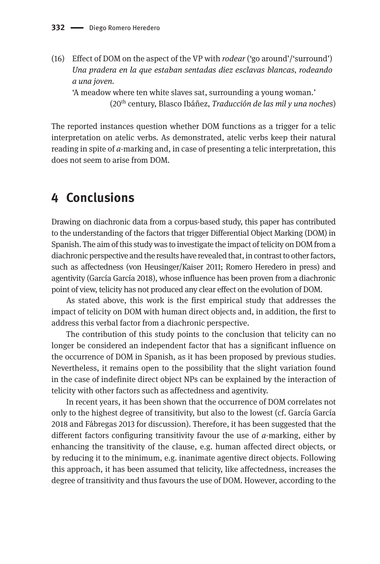(16) Effect of DOM on the aspect of the VP with *rodear* ('go around'/'surround') *Una pradera en la que estaban sentadas diez esclavas blancas, rodeando a una joven.* 

'A meadow where ten white slaves sat, surrounding a young woman.' (20th century, Blasco Ibáñez, *Traducción de las mil y una noches*)

The reported instances question whether DOM functions as a trigger for a telic interpretation on atelic verbs. As demonstrated, atelic verbs keep their natural reading in spite of *a*-marking and, in case of presenting a telic interpretation, this does not seem to arise from DOM.

# **4 Conclusions**

Drawing on diachronic data from a corpus-based study, this paper has contributed to the understanding of the factors that trigger Differential Object Marking (DOM) in Spanish. The aim of this study was to investigate the impact of telicity on DOM from a diachronic perspective and the results have revealed that, in contrast to other factors, such as affectedness (von Heusinger/Kaiser 2011; Romero Heredero in press) and agentivity (García García 2018), whose influence has been proven from a diachronic point of view, telicity has not produced any clear effect on the evolution of DOM.

As stated above, this work is the first empirical study that addresses the impact of telicity on DOM with human direct objects and, in addition, the first to address this verbal factor from a diachronic perspective.

The contribution of this study points to the conclusion that telicity can no longer be considered an independent factor that has a significant influence on the occurrence of DOM in Spanish, as it has been proposed by previous studies. Nevertheless, it remains open to the possibility that the slight variation found in the case of indefinite direct object NPs can be explained by the interaction of telicity with other factors such as affectedness and agentivity.

In recent years, it has been shown that the occurrence of DOM correlates not only to the highest degree of transitivity, but also to the lowest (cf. García García 2018 and Fábregas 2013 for discussion). Therefore, it has been suggested that the different factors configuring transitivity favour the use of *a*-marking, either by enhancing the transitivity of the clause, e.g. human affected direct objects, or by reducing it to the minimum, e.g. inanimate agentive direct objects. Following this approach, it has been assumed that telicity, like affectedness, increases the degree of transitivity and thus favours the use of DOM. However, according to the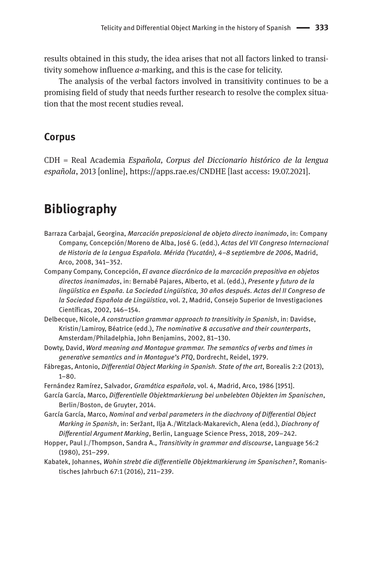results obtained in this study, the idea arises that not all factors linked to transitivity somehow influence *a-*marking, and this is the case for telicity.

The analysis of the verbal factors involved in transitivity continues to be a promising field of study that needs further research to resolve the complex situation that the most recent studies reveal.

#### **Corpus**

CDH = Real Academia *Española, Corpus del Diccionario histórico de la lengua española*, 2013 [online], https://apps.rae.es/CNDHE [last access: 19.07.2021].

# **Bibliography**

- Barraza Carbajal, Georgina, *Marcación preposicional de objeto directo inanimado*, in: Company Company, Concepción/Moreno de Alba, José G. (edd.), *Actas del VII Congreso Internacional de Historia de la Lengua Española. Mérida (Yucatán), 4–8 septiembre de 2006*, Madrid, Arco, 2008, 341–352.
- Company Company, Concepción, *El avance diacrónico de la marcación prepositiva en objetos directos inanimados*, in: Bernabé Pajares, Alberto, et al. (edd.), *Presente y futuro de la lingüística en España. La Sociedad Lingüística, 30 años después. Actas del II Congreso de la Sociedad Española de Lingüística*, vol. 2, Madrid, Consejo Superior de Investigaciones Científicas, 2002, 146–154.
- Delbecque, Nicole, *A construction grammar approach to transitivity in Spanish*, in: Davidse, Kristin/Lamiroy, Béatrice (edd.), *The nominative & accusative and their counterparts*, Amsterdam/Philadelphia, John Benjamins, 2002, 81–130.
- Dowty, David, *Word meaning and Montague grammar. The semantics of verbs and times in generative semantics and in Montague's PTQ*, Dordrecht, Reidel, 1979.
- Fábregas, Antonio, *Differential Object Marking in Spanish. State of the art*, Borealis 2:2 (2013), 1–80.
- Fernández Ramírez, Salvador, *Gramática española*, vol. 4, Madrid, Arco, 1986 [1951].
- García García, Marco, *Differentielle Objektmarkierung bei unbelebten Objekten im Spanischen*, Berlin/Boston, de Gruyter, 2014.
- García García, Marco, *Nominal and verbal parameters in the diachrony of Differential Object Marking in Spanish*, in: Seržant, Ilja A./Witzlack-Makarevich, Alena (edd.), *Diachrony of Differential Argument Marking*, Berlin, Language Science Press, 2018, 209–242.
- Hopper, Paul J./Thompson, Sandra A., *Transitivity in grammar and discourse*, Language 56:2 (1980), 251–299.
- Kabatek, Johannes, *Wohin strebt die differentielle Objektmarkierung im Spanischen?*, Romanistisches Jahrbuch 67:1 (2016), 211–239.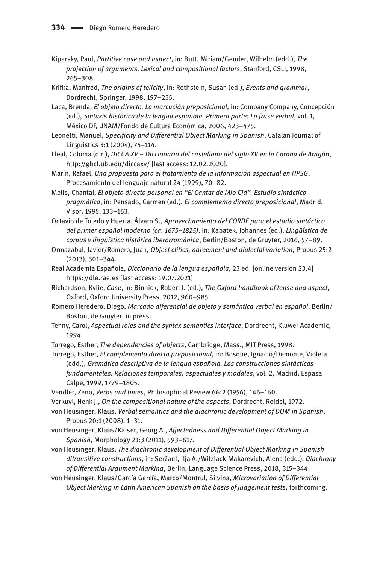- Kiparsky, Paul, *Partitive case and aspect*, in: Butt, Miriam/Geuder, Wilhelm (edd.), *The projection of arguments. Lexical and compositional factors*, Stanford, CSLI, 1998, 265–308.
- Krifka, Manfred, *The origins of telicity*, in: Rothstein, Susan (ed.), *Events and grammar*, Dordrecht, Springer, 1998, 197–235.
- Laca, Brenda, *El objeto directo. La marcación preposicional*, in: Company Company, Concepción (ed.), *Sintaxis histórica de la lengua española. Primera parte: La frase verbal*, vol. 1, México DF, UNAM/Fondo de Cultura Económica, 2006, 423–475.
- Leonetti, Manuel, *Specificity and Differential Object Marking in Spanish*, Catalan Journal of Linguistics 3:1 (2004), 75–114.
- Lleal, Coloma (dir.), *DiCCA XV* – *Diccionario del castellano del siglo XV en la Corona de Aragón*, <http://ghcl.ub.edu/diccaxv/> [last access: 12.02.2020].
- Marín, Rafael, *Una propuesta para el tratamiento de la información aspectual en HPSG*, Procesamiento del lenguaje natural 24 (1999), 70–82.
- Melis, Chantal, *El objeto directo personal en "El Cantar de Mio Cid". Estudio sintácticopragmático*, in: Pensado, Carmen (ed.), *El complemento directo preposicional*, Madrid, Visor, 1995, 133–163.
- Octavio de Toledo y Huerta, Álvaro S., *Aprovechamiento del CORDE para el estudio sintáctico del primer español moderno (ca. 1675–1825)*, in: Kabatek, Johannes (ed.), *Lingüística de corpus y lingüística histórica iberorrománica*, Berlin/Boston, de Gruyter, 2016, 57–89.
- Ormazabal, Javier/Romero, Juan, *Object clitics, agreement and dialectal variation*, Probus 25:2 (2013), 301–344.
- Real Academia Española, *Diccionario de la lengua española*, 23 ed. [online version 23.4] https://dle.rae.es [last access: 19.07.2021]
- Richardson, Kylie, *Case*, in: Binnick, Robert I. (ed.), *The Oxford handbook of tense and aspect*, Oxford, Oxford University Press, 2012, 960–985.
- Romero Heredero, Diego, *Marcado diferencial de objeto y semántica verbal en español*, Berlin/ Boston, de Gruyter, in press.
- Tenny, Carol, *Aspectual roles and the syntax-semantics interface*, Dordrecht, Kluwer Academic, 1994.
- Torrego, Esther, *The dependencies of objects*, Cambridge, Mass., MIT Press, 1998.
- Torrego, Esther, *El complemento directo preposicional*, in: Bosque, Ignacio/Demonte, Violeta (edd.), *Gramática descriptiva de la lengua española. Las construcciones sintácticas fundamentales. Relaciones temporales, aspectuales y modales*, vol. 2, Madrid, Espasa Calpe, 1999, 1779–1805.
- Vendler, Zeno, *Verbs and times*, Philosophical Review 66:2 (1956), 146–160.
- Verkuyl, Henk J., *On the compositional nature of the aspects*, Dordrecht, Reidel, 1972.

von Heusinger, Klaus, *Verbal semantics and the diachronic development of DOM in Spanish*, Probus 20:1 (2008), 1–31.

- von Heusinger, Klaus/Kaiser, Georg A., *Affectedness and Differential Object Marking in Spanish*, Morphology 21:3 (2011), 593–617.
- von Heusinger, Klaus, *The diachronic development of Differential Object Marking in Spanish ditransitive constructions*, in: Seržant, Ilja A./Witzlack-Makarevich, Alena (edd.), *Diachrony of Differential Argument Marking*, Berlin, Language Science Press, 2018, 315–344.
- von Heusinger, Klaus/García García, Marco/Montrul, Silvina, *Microvariation of Differential Object Marking in Latin American Spanish on the basis of judgement tests*, forthcoming.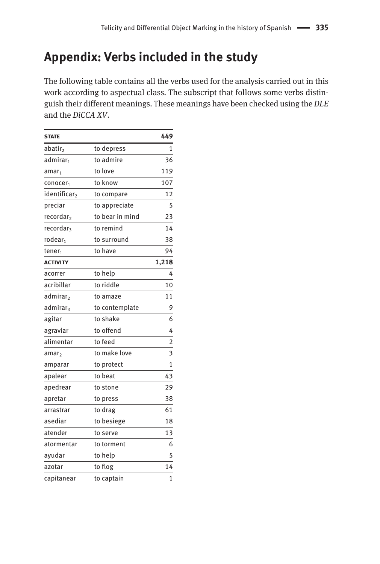# **Appendix: Verbs included in the study**

The following table contains all the verbs used for the analysis carried out in this work according to aspectual class. The subscript that follows some verbs distinguish their different meanings. These meanings have been checked using the *DLE* and the *DiCCA XV*.

| <b>STATE</b>             |                 | 449            |
|--------------------------|-----------------|----------------|
| abatir,                  | to depress      | 1              |
| admirar,                 | to admire       | 36             |
| amar <sub>1</sub>        | to love         | 119            |
| conocer <sub>1</sub>     | to know         | 107            |
| identificar <sub>2</sub> | to compare      | 12             |
| preciar                  | to appreciate   | 5              |
| recordar <sub>2</sub>    | to bear in mind | 23             |
| recordar <sub>3</sub>    | to remind       | 14             |
| rodear <sub>1</sub>      | to surround     | 38             |
| tener <sub>1</sub>       | to have         | 94             |
| <b>ACTIVITY</b>          |                 | 1,218          |
| acorrer                  | to help         | 4              |
| acribillar               | to riddle       | 10             |
| admirar <sub>2</sub>     | to amaze        | 11             |
| admirar <sub>3</sub>     | to contemplate  | 9              |
| agitar                   | to shake        | 6              |
| agraviar                 | to offend       | 4              |
| alimentar                | to feed         | $\overline{2}$ |
| amar <sub>2</sub>        | to make love    | 3              |
| amparar                  | to protect      | 1              |
| apalear                  | to beat         | 43             |
| apedrear                 | to stone        | 29             |
| apretar                  | to press        | 38             |
| arrastrar                | to drag         | 61             |
| asediar                  | to besiege      | 18             |
| atender                  | to serve        | 13             |
| atormentar               | to torment      | 6              |
| ayudar                   | to help         | 5              |
| azotar                   | to flog         | 14             |
| capitanear               | to captain      | 1              |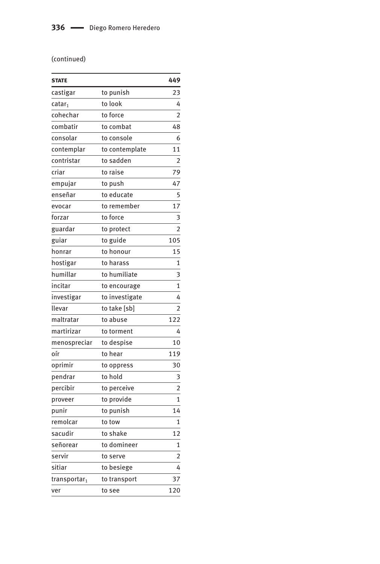#### (continued)

| <b>STATE</b>             |                | 449            |
|--------------------------|----------------|----------------|
| castigar                 | to punish      | 23             |
| catar <sub>1</sub>       | to look        | 4              |
| cohechar                 | to force       | $\overline{c}$ |
| combatir                 | to combat      | 48             |
| consolar                 | to console     | 6              |
| contemplar               | to contemplate | 11             |
| contristar               | to sadden      | $\overline{2}$ |
| criar                    | to raise       | 79             |
| empujar                  | to push        | 47             |
| enseñar                  | to educate     | 5              |
| evocar                   | to remember    | 17             |
| forzar                   | to force       | 3              |
| guardar                  | to protect     | $\overline{2}$ |
| guiar                    | to guide       | 105            |
| honrar                   | to honour      | 15             |
| hostigar                 | to harass      | 1              |
| humillar                 | to humiliate   | 3              |
| incitar                  | to encourage   | $\mathbf{1}$   |
| investigar               | to investigate | 4              |
| llevar                   | to take [sb]   | $\overline{2}$ |
| maltratar                | to abuse       | 122            |
| martirizar               | to torment     | 4              |
| menospreciar             | to despise     | 10             |
| oír                      | to hear        | 119            |
| oprimir                  | to oppress     | 30             |
| pendrar                  | to hold        | 3              |
| percibir                 | to perceive    | $\overline{2}$ |
| proveer                  | to provide     | 1              |
| punir                    | to punish      | 14             |
| remolcar                 | to tow         | $\mathbf{1}$   |
| sacudir                  | to shake       | 12             |
| señorear                 | to domineer    | 1              |
| servir                   | to serve       | $\overline{2}$ |
| sitiar                   | to besiege     | 4              |
| transportar <sub>1</sub> | to transport   | 37             |
| ver                      | to see         | 120            |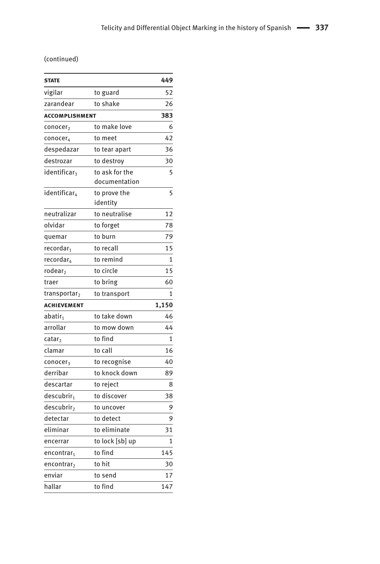#### (continued)

| <b>STATE</b>             |                                 | 449            |
|--------------------------|---------------------------------|----------------|
| vigilar                  | to guard                        | 52             |
| zarandear                | to shake                        | 26             |
| <b>ACCOMPLISHMENT</b>    | 383                             |                |
| conocer,                 | to make love                    | 6              |
| conocer <sub>4</sub>     | to meet                         | 42             |
| despedazar               | to tear apart                   | 36             |
| destrozar                | to destrov                      | 30             |
| identificar <sub>3</sub> | to ask for the<br>documentation | 5              |
| identificar <sub>4</sub> | to prove the<br>identity        | 5              |
| neutralizar              | to neutralise                   | 12             |
| olvidar                  | to forget                       | 78             |
| quemar                   | to burn                         | 79             |
| recordar <sub>1</sub>    | to recall                       | 15             |
| recordar <sub>4</sub>    | to remind                       | 1              |
| rodear <sub>2</sub>      | to circle                       | 15             |
| traer                    | to bring                        | 60             |
| transportar <sub>2</sub> | to transport                    | $\overline{1}$ |
| <b>ACHIEVEMENT</b>       |                                 | 1,150          |
| abatir <sub>1</sub>      | to take down                    | 46             |
| arrollar                 | to mow down                     | 44             |
| catar <sub>2</sub>       | to find                         | $\mathbf{1}$   |
| clamar                   | to call                         | 16             |
| conocer <sub>3</sub>     | to recognise                    | 40             |
| derribar                 | to knock down                   | 89             |
| descartar                | to reject                       | 8              |
| descubrir <sub>1</sub>   | to discover                     | 38             |
| descubrir <sub>2</sub>   | to uncover                      | 9              |
| detectar                 | to detect                       | 9              |
| eliminar                 | to eliminate                    | 31             |
| encerrar                 | to lock [sb] up                 | $\overline{1}$ |
| encontrar <sub>1</sub>   | to find                         | 145            |
| encontrar,               | to hit                          | 30             |
| enviar                   | to send                         | 17             |
| hallar                   | to find                         | 147            |